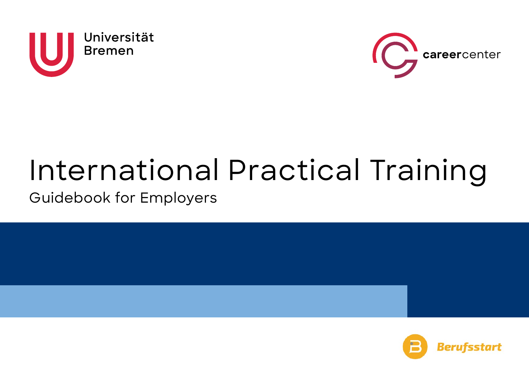



# International Practical Training

Guidebook for Employers

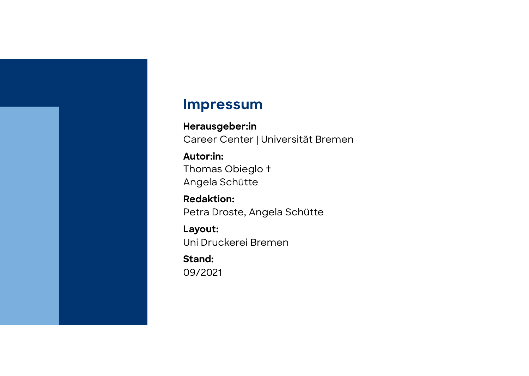# **Impressum**

**Herausgeber:in**  Career Center | Universität Bremen

**Autor:in:**  Thomas Obieglo † Angela Schütte

**Redaktion:**  Petra Droste, Angela Schütte

**Layout:** Uni Druckerei Bremen

**Stand:** 09/2021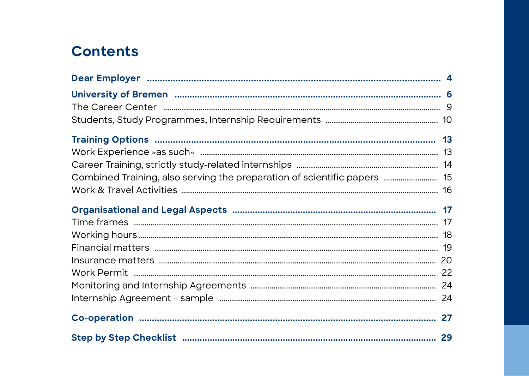# **Contents**

| Combined Training, also serving the preparation of scientific papers  15 |  |
|--------------------------------------------------------------------------|--|
|                                                                          |  |
|                                                                          |  |
|                                                                          |  |
|                                                                          |  |
|                                                                          |  |
|                                                                          |  |
|                                                                          |  |
|                                                                          |  |
|                                                                          |  |
|                                                                          |  |
|                                                                          |  |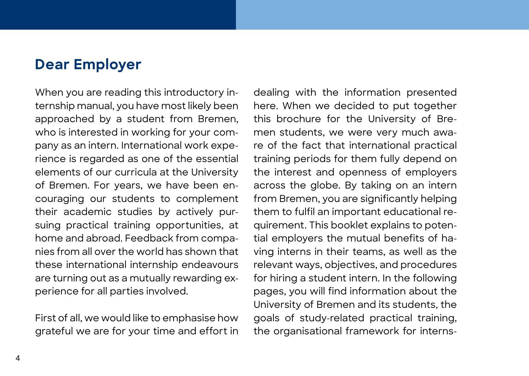## <span id="page-3-0"></span>**Dear Employer**

When you are reading this introductory internship manual, you have most likely been approached by a student from Bremen, who is interested in working for your company as an intern. International work experience is regarded as one of the essential elements of our curricula at the University of Bremen. For years, we have been encouraging our students to complement their academic studies by actively pursuing practical training opportunities, at home and abroad. Feedback from companies from all over the world has shown that these international internship endeavours are turning out as a mutually rewarding experience for all parties involved.

First of all, we would like to emphasise how grateful we are for your time and effort in dealing with the information presented here. When we decided to put together this brochure for the University of Bremen students, we were very much aware of the fact that international practical training periods for them fully depend on the interest and openness of employers across the globe. By taking on an intern from Bremen, you are significantly helping them to fulfil an important educational requirement. This booklet explains to potential employers the mutual benefits of having interns in their teams, as well as the relevant ways, objectives, and procedures for hiring a student intern. In the following pages, you will find information about the University of Bremen and its students, the goals of study-related practical training, the organisational framework for interns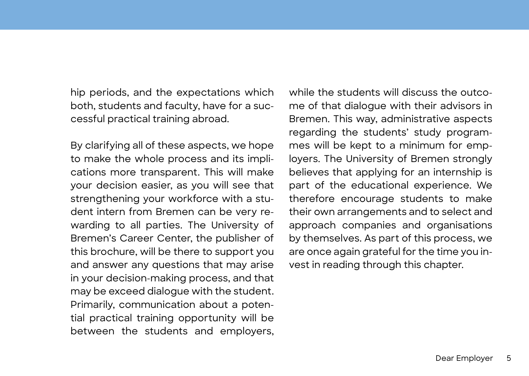hip periods, and the expectations which both, students and faculty, have for a successful practical training abroad.

By clarifying all of these aspects, we hope to make the whole process and its implications more transparent. This will make your decision easier, as you will see that strengthening your workforce with a student intern from Bremen can be very rewarding to all parties. The University of Bremen's Career Center, the publisher of this brochure, will be there to support you and answer any questions that may arise in your decision-making process, and that may be exceed dialogue with the student. Primarily, communication about a potential practical training opportunity will be between the students and employers,

while the students will discuss the outcome of that dialogue with their advisors in Bremen. This way, administrative aspects regarding the students' study programmes will be kept to a minimum for emplovers. The University of Bremen strongly believes that applying for an internship is part of the educational experience. We therefore encourage students to make their own arrangements and to select and approach companies and organisations by themselves. As part of this process, we are once again grateful for the time you invest in reading through this chapter.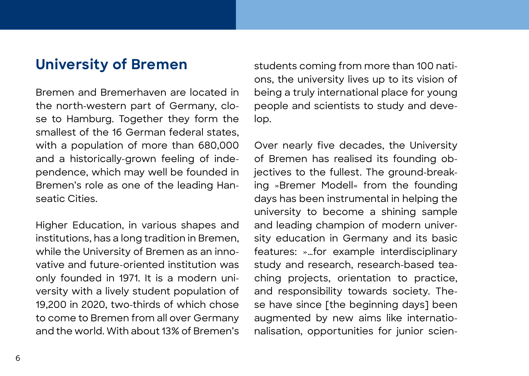# <span id="page-5-0"></span>**University of Bremen**

Bremen and Bremerhaven are located in the north-western part of Germany, close to Hamburg. Together they form the smallest of the 16 German federal states, with a population of more than 680,000 and a historically-grown feeling of independence, which may well be founded in Bremen's role as one of the leading Hanseatic Cities.

Higher Education, in various shapes and institutions, has a long tradition in Bremen, while the University of Bremen as an innovative and future-oriented institution was only founded in 1971. It is a modern university with a lively student population of 19,200 in 2020, two-thirds of which chose to come to Bremen from all over Germany and the world. With about 13% of Bremen's students coming from more than 100 nations, the university lives up to its vision of being a truly international place for young people and scientists to study and develop.

Over nearly five decades, the University of Bremen has realised its founding objectives to the fullest. The ground-breaking »Bremer Modell« from the founding days has been instrumental in helping the university to become a shining sample and leading champion of modern university education in Germany and its basic features: »…for example interdisciplinary study and research, research-based teaching projects, orientation to practice, and responsibility towards society. These have since [the beginning days] been augmented by new aims like internationalisation, opportunities for junior scien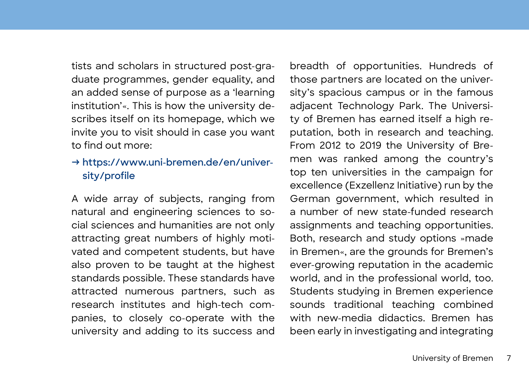tists and scholars in structured post-graduate programmes, gender equality, and an added sense of purpose as a 'learning institution'«. This is how the university describes itself on its homepage, which we invite you to visit should in case you want to find out more:

#### **→ [https://www.uni-bremen.de/en/univer](https://www.uni-bremen.de/en/university/profile)[sity/profile](https://www.uni-bremen.de/en/university/profile)**

A wide array of subjects, ranging from natural and engineering sciences to social sciences and humanities are not only attracting great numbers of highly motivated and competent students, but have also proven to be taught at the highest standards possible. These standards have attracted numerous partners, such as research institutes and high-tech companies, to closely co-operate with the university and adding to its success and breadth of opportunities. Hundreds of those partners are located on the university's spacious campus or in the famous adjacent Technology Park. The University of Bremen has earned itself a high reputation, both in research and teaching. From 2012 to 2019 the University of Bremen was ranked among the country's top ten universities in the campaign for excellence (Exzellenz Initiative) run by the German government, which resulted in a number of new state-funded research assignments and teaching opportunities. Both, research and study options »made in Bremen«, are the grounds for Bremen's ever-growing reputation in the academic world, and in the professional world, too. Students studying in Bremen experience sounds traditional teaching combined with new-media didactics. Bremen has been early in investigating and integrating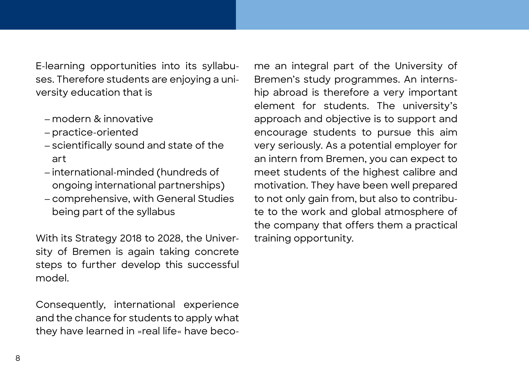E-learning opportunities into its syllabuses. Therefore students are enjoying a university education that is

- ‒ modern & innovative
- ‒ practice-oriented
- ‒ scientifically sound and state of the art
- ‒ international-minded (hundreds of ongoing international partnerships)
- ‒ comprehensive, with General Studies being part of the syllabus

With its Strategy 2018 to 2028, the University of Bremen is again taking concrete steps to further develop this successful model.

Consequently, international experience and the chance for students to apply what they have learned in »real life« have become an integral part of the University of Bremen's study programmes. An internship abroad is therefore a very important element for students. The university's approach and objective is to support and encourage students to pursue this aim very seriously. As a potential employer for an intern from Bremen, you can expect to meet students of the highest calibre and motivation. They have been well prepared to not only gain from, but also to contribute to the work and global atmosphere of the company that offers them a practical training opportunity.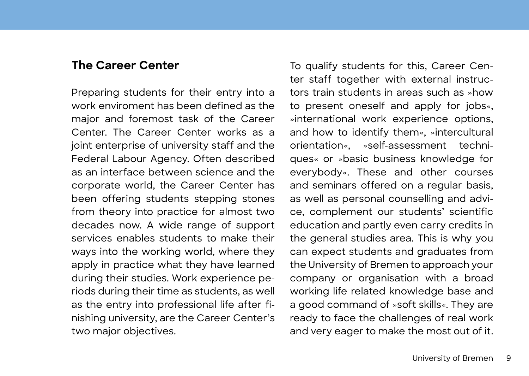#### <span id="page-8-0"></span>**The Career Center**

Preparing students for their entry into a work enviroment has been defined as the major and foremost task of the Career Center. The Career Center works as a joint enterprise of university staff and the Federal Labour Agency. Often described as an interface between science and the corporate world, the Career Center has been offering students stepping stones from theory into practice for almost two decades now. A wide range of support services enables students to make their ways into the working world, where they apply in practice what they have learned during their studies. Work experience periods during their time as students, as well as the entry into professional life after finishing university, are the Career Center's two major objectives.

To qualify students for this, Career Center staff together with external instructors train students in areas such as »how to present oneself and apply for jobs«, »international work experience options, and how to identify them«, »intercultural orientation«, »self-assessment techniques« or »basic business knowledge for everybody«. These and other courses and seminars offered on a regular basis. as well as personal counselling and advice, complement our students' scientific education and partly even carry credits in the general studies area. This is why you can expect students and graduates from the University of Bremen to approach your company or organisation with a broad working life related knowledge base and a good command of »soft skills«. They are ready to face the challenges of real work and very eager to make the most out of it.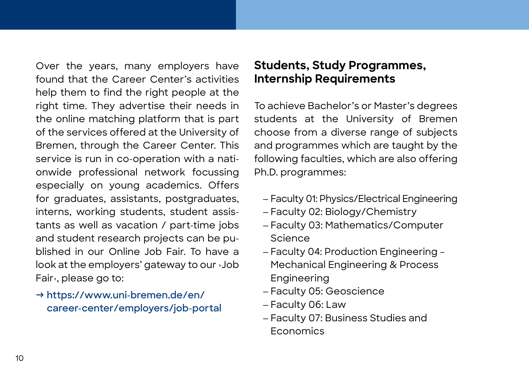<span id="page-9-0"></span>Over the years, many employers have found that the Career Center's activities help them to find the right people at the right time. They advertise their needs in the online matching platform that is part of the services offered at the University of Bremen, through the Career Center. This service is run in co-operation with a nationwide professional network focussing especially on young academics. Offers for graduates, assistants, postgraduates, interns, working students, student assistants as well as vacation / part-time jobs and student research projects can be published in our Online Job Fair. To have a look at the employers' gateway to our ›Job Fair‹, please go to:

**→ [https://www.uni-bremen.de/en/](https://www.uni-bremen.de/en/career-center/employers/job-portal) [career-center/employers/job-portal](https://www.uni-bremen.de/en/career-center/employers/job-portal)**

### **Students, Study Programmes, Internship Requirements**

To achieve Bachelor's or Master's degrees students at the University of Bremen choose from a diverse range of subjects and programmes which are taught by the following faculties, which are also offering Ph.D. programmes:

- ‒ Faculty 01: Physics/Electrical Engineering
- ‒ Faculty 02: Biology/Chemistry
- ‒ Faculty 03: Mathematics/Computer Science
- ‒ Faculty 04: Production Engineering Mechanical Engineering & Process **Engineering**
- ‒ Faculty 05: Geoscience
- ‒ Faculty 06: Law
- ‒ Faculty 07: Business Studies and Economics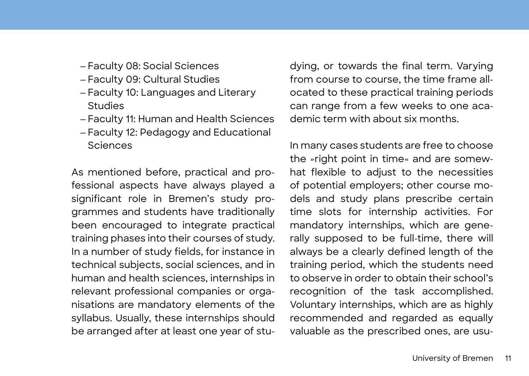- ‒ Faculty 08: Social Sciences
- ‒ Faculty 09: Cultural Studies
- ‒ Faculty 10: Languages and Literary Studies
- ‒ Faculty 11: Human and Health Sciences
- ‒ Faculty 12: Pedagogy and Educational Sciences

As mentioned before, practical and professional aspects have always played a significant role in Bremen's study programmes and students have traditionally been encouraged to integrate practical training phases into their courses of study. In a number of study fields, for instance in technical subjects, social sciences, and in human and health sciences, internships in relevant professional companies or organisations are mandatory elements of the syllabus. Usually, these internships should be arranged after at least one year of studying, or towards the final term. Varying from course to course, the time frame allocated to these practical training periods can range from a few weeks to one academic term with about six months.

In many cases students are free to choose the »right point in time« and are somewhat flexible to adjust to the necessities of potential employers; other course models and study plans prescribe certain time slots for internship activities. For mandatory internships, which are generally supposed to be full-time, there will always be a clearly defined length of the training period, which the students need to observe in order to obtain their school's recognition of the task accomplished. Voluntary internships, which are as highly recommended and regarded as equally valuable as the prescribed ones, are usu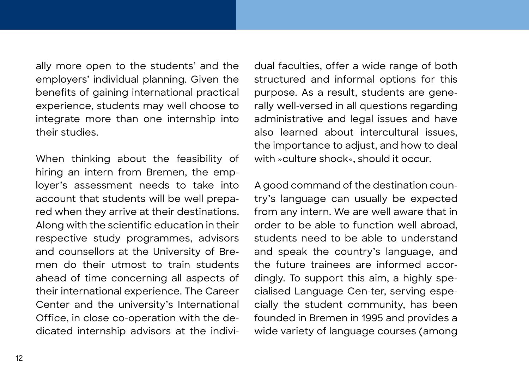ally more open to the students' and the employers' individual planning. Given the benefits of gaining international practical experience, students may well choose to integrate more than one internship into their studies.

When thinking about the feasibility of hiring an intern from Bremen, the employer's assessment needs to take into account that students will be well prepared when they arrive at their destinations. Along with the scientific education in their respective study programmes, advisors and counsellors at the University of Bremen do their utmost to train students ahead of time concerning all aspects of their international experience. The Career Center and the university's International Office, in close co-operation with the dedicated internship advisors at the individual faculties, offer a wide range of both structured and informal options for this purpose. As a result, students are generally well-versed in all questions regarding administrative and legal issues and have also learned about intercultural issues the importance to adjust, and how to deal with »culture shock«, should it occur.

A good command of the destination country's language can usually be expected from any intern. We are well aware that in order to be able to function well abroad, students need to be able to understand and speak the country's language, and the future trainees are informed accordingly. To support this aim, a highly specialised Language Cen-ter, serving especially the student community, has been founded in Bremen in 1995 and provides a wide variety of language courses (among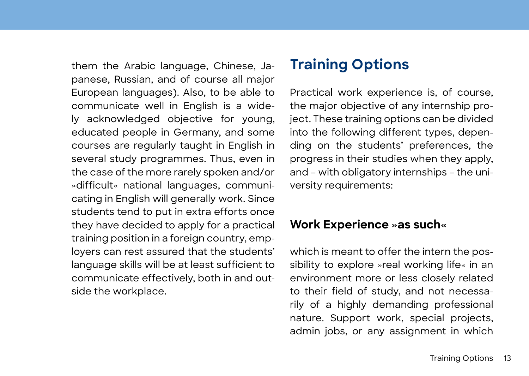<span id="page-12-0"></span>them the Arabic language, Chinese, Japanese, Russian, and of course all major European languages). Also, to be able to communicate well in English is a widely acknowledged objective for young, educated people in Germany, and some courses are regularly taught in English in several study programmes. Thus, even in the case of the more rarely spoken and/or »difficult« national languages, communicating in English will generally work. Since students tend to put in extra efforts once they have decided to apply for a practical training position in a foreign country, employers can rest assured that the students' language skills will be at least sufficient to communicate effectively, both in and outside the workplace.

# **Training Options**

Practical work experience is, of course, the major objective of any internship project. These training options can be divided into the following different types, depending on the students' preferences, the progress in their studies when they apply, and – with obligatory internships – the university requirements:

#### **Work Experience »as such«**

which is meant to offer the intern the possibility to explore »real working life« in an environment more or less closely related to their field of study, and not necessarily of a highly demanding professional nature. Support work, special projects, admin jobs, or any assignment in which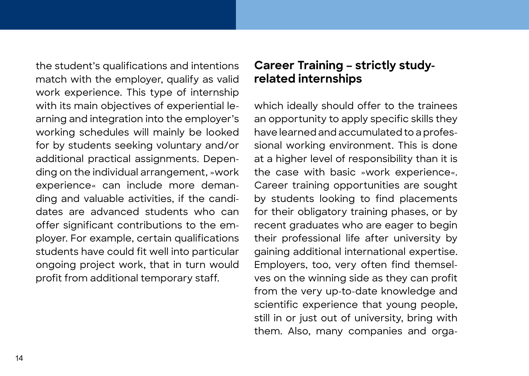<span id="page-13-0"></span>the student's qualifications and intentions match with the employer, qualify as valid work experience. This type of internship with its main objectives of experiential learning and integration into the employer's working schedules will mainly be looked for by students seeking voluntary and/or additional practical assignments. Depending on the individual arrangement, »work experience« can include more demanding and valuable activities, if the candidates are advanced students who can offer significant contributions to the employer. For example, certain qualifications students have could fit well into particular ongoing project work, that in turn would profit from additional temporary staff.

#### **Career Training – strictly studyrelated internships**

which ideally should offer to the trainees an opportunity to apply specific skills they have learned and accumulated to a professional working environment. This is done at a higher level of responsibility than it is the case with basic »work experience«. Career training opportunities are sought by students looking to find placements for their obligatory training phases, or by recent graduates who are eager to begin their professional life after university by gaining additional international expertise. Employers, too, very often find themselves on the winning side as they can profit from the very up-to-date knowledge and scientific experience that young people, still in or just out of university, bring with them. Also, many companies and orga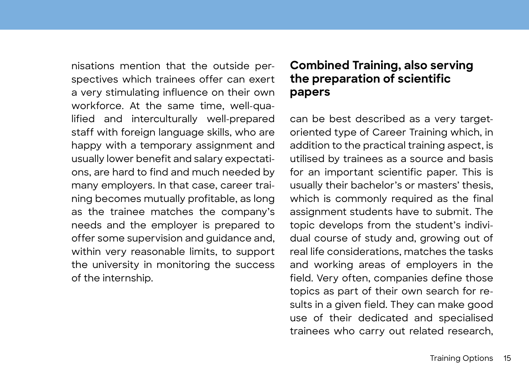<span id="page-14-0"></span>nisations mention that the outside perspectives which trainees offer can exert a very stimulating influence on their own workforce. At the same time, well-qualified and interculturally well-prepared staff with foreign language skills, who are happy with a temporary assignment and usually lower benefit and salary expectations, are hard to find and much needed by many employers. In that case, career training becomes mutually profitable, as long as the trainee matches the company's needs and the employer is prepared to offer some supervision and guidance and, within very reasonable limits, to support the university in monitoring the success of the internship.

#### **Combined Training, also serving the preparation of scientific papers**

can be best described as a very targetoriented type of Career Training which, in addition to the practical training aspect, is utilised by trainees as a source and basis for an important scientific paper. This is usually their bachelor's or masters' thesis, which is commonly required as the final assignment students have to submit. The topic develops from the student's individual course of study and, growing out of real life considerations, matches the tasks and working areas of employers in the field. Very often, companies define those topics as part of their own search for results in a given field. They can make good use of their dedicated and specialised trainees who carry out related research,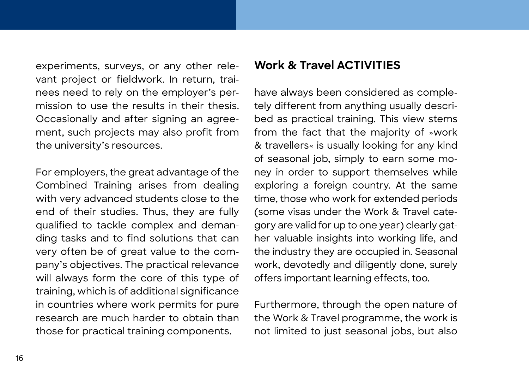<span id="page-15-0"></span>experiments, surveys, or any other relevant project or fieldwork. In return, trainees need to rely on the employer's permission to use the results in their thesis. Occasionally and after signing an agreement, such projects may also profit from the university's resources.

For employers, the great advantage of the Combined Training arises from dealing with very advanced students close to the end of their studies. Thus, they are fully qualified to tackle complex and demanding tasks and to find solutions that can very often be of great value to the company's objectives. The practical relevance will always form the core of this type of training, which is of additional significance in countries where work permits for pure research are much harder to obtain than those for practical training components.

#### **Work & Travel ACTIVITIES**

have always been considered as completely different from anything usually described as practical training. This view stems from the fact that the majority of »work & travellers« is usually looking for any kind of seasonal job, simply to earn some money in order to support themselves while exploring a foreign country. At the same time, those who work for extended periods (some visas under the Work & Travel category are valid for up to one year) clearly gather valuable insights into working life, and the industry they are occupied in. Seasonal work, devotedly and diligently done, surely offers important learning effects, too.

Furthermore, through the open nature of the Work & Travel programme, the work is not limited to just seasonal jobs, but also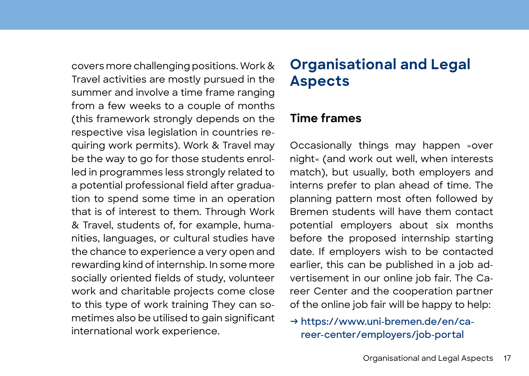<span id="page-16-0"></span>covers more challenging positions. Work & Travel activities are mostly pursued in the summer and involve a time frame ranging from a few weeks to a couple of months (this framework strongly depends on the respective visa legislation in countries requiring work permits). Work & Travel may be the way to go for those students enrolled in programmes less strongly related to a potential professional field after graduation to spend some time in an operation that is of interest to them. Through Work & Travel, students of, for example, humanities, languages, or cultural studies have the chance to experience a very open and rewarding kind of internship. In some more socially oriented fields of study, volunteer work and charitable projects come close to this type of work training They can sometimes also be utilised to gain significant international work experience.

# **Organisational and Legal Aspects**

#### **Time frames**

Occasionally things may happen »over night« (and work out well, when interests match), but usually, both employers and interns prefer to plan ahead of time. The planning pattern most often followed by Bremen students will have them contact potential employers about six months before the proposed internship starting date. If employers wish to be contacted earlier, this can be published in a job advertisement in our online job fair. The Career Center and the cooperation partner of the online job fair will be happy to help:

**→ [https://www.uni-bremen.de/en/ca](https://www.uni-bremen.de/en/career-center/employers/job-portal)[reer-center/employers/job-portal](https://www.uni-bremen.de/en/career-center/employers/job-portal)**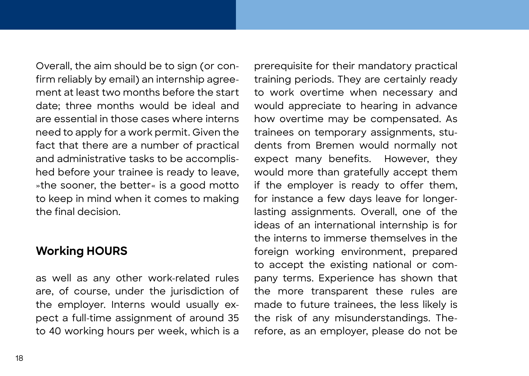<span id="page-17-0"></span>Overall, the aim should be to sign (or confirm reliably by email) an internship agreement at least two months before the start date; three months would be ideal and are essential in those cases where interns need to apply for a work permit. Given the fact that there are a number of practical and administrative tasks to be accomplished before your trainee is ready to leave, »the sooner, the better« is a good motto to keep in mind when it comes to making the final decision.

#### **Working HOURS**

as well as any other work-related rules are, of course, under the jurisdiction of the employer. Interns would usually expect a full-time assignment of around 35 to 40 working hours per week, which is a prerequisite for their mandatory practical training periods. They are certainly ready to work overtime when necessary and would appreciate to hearing in advance how overtime may be compensated. As trainees on temporary assignments, students from Bremen would normally not expect many benefits. However, they would more than gratefully accept them if the employer is ready to offer them, for instance a few days leave for longerlasting assignments. Overall, one of the ideas of an international internship is for the interns to immerse themselves in the foreign working environment, prepared to accept the existing national or company terms. Experience has shown that the more transparent these rules are made to future trainees, the less likely is the risk of any misunderstandings. Therefore, as an employer, please do not be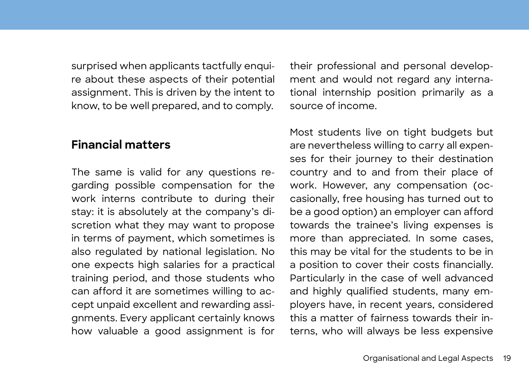<span id="page-18-0"></span>surprised when applicants tactfully enquire about these aspects of their potential assignment. This is driven by the intent to know, to be well prepared, and to comply.

#### **Financial matters**

The same is valid for any questions regarding possible compensation for the work interns contribute to during their stay: it is absolutely at the company's discretion what they may want to propose in terms of payment, which sometimes is also regulated by national legislation. No one expects high salaries for a practical training period, and those students who can afford it are sometimes willing to accept unpaid excellent and rewarding assignments. Every applicant certainly knows how valuable a good assignment is for their professional and personal development and would not regard any international internship position primarily as a source of income.

Most students live on tight budgets but are nevertheless willing to carry all expenses for their journey to their destination country and to and from their place of work. However, any compensation (occasionally, free housing has turned out to be a good option) an employer can afford towards the trainee's living expenses is more than appreciated. In some cases, this may be vital for the students to be in a position to cover their costs financially. Particularly in the case of well advanced and highly qualified students, many employers have, in recent years, considered this a matter of fairness towards their interns, who will always be less expensive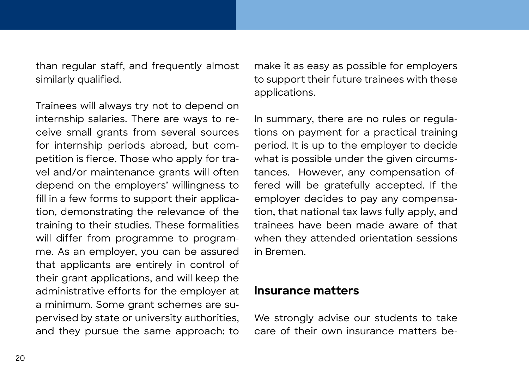<span id="page-19-0"></span>than regular staff, and frequently almost similarly qualified.

Trainees will always try not to depend on internship salaries. There are ways to receive small grants from several sources for internship periods abroad, but competition is fierce. Those who apply for travel and/or maintenance grants will often depend on the employers' willingness to fill in a few forms to support their application, demonstrating the relevance of the training to their studies. These formalities will differ from programme to programme. As an employer, you can be assured that applicants are entirely in control of their grant applications, and will keep the administrative efforts for the employer at a minimum. Some grant schemes are supervised by state or university authorities, and they pursue the same approach: to

make it as easy as possible for employers to support their future trainees with these applications.

In summary, there are no rules or regulations on payment for a practical training period. It is up to the employer to decide what is possible under the given circumstances. However, any compensation offered will be gratefully accepted. If the employer decides to pay any compensation, that national tax laws fully apply, and trainees have been made aware of that when they attended orientation sessions in Bremen.

#### **Insurance matters**

We strongly advise our students to take care of their own insurance matters be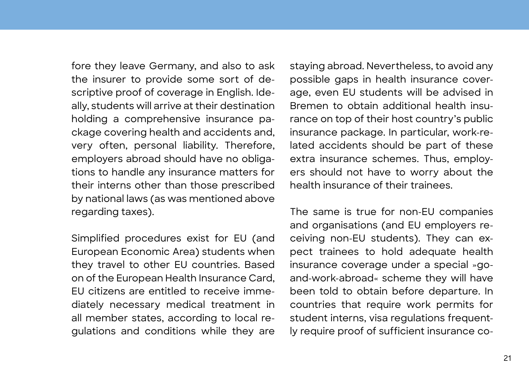fore they leave Germany, and also to ask the insurer to provide some sort of descriptive proof of coverage in English. Ideally, students will arrive at their destination holding a comprehensive insurance package covering health and accidents and, very often, personal liability. Therefore, employers abroad should have no obligations to handle any insurance matters for their interns other than those prescribed by national laws (as was mentioned above regarding taxes).

Simplified procedures exist for EU (and European Economic Area) students when they travel to other EU countries. Based on of the European Health Insurance Card, EU citizens are entitled to receive immediately necessary medical treatment in all member states, according to local regulations and conditions while they are

staying abroad. Nevertheless, to avoid any possible gaps in health insurance coverage, even EU students will be advised in Bremen to obtain additional health insurance on top of their host country's public insurance package. In particular, work-related accidents should be part of these extra insurance schemes. Thus, employers should not have to worry about the health insurance of their trainees.

The same is true for non-EU companies and organisations (and EU employers receiving non-EU students). They can expect trainees to hold adequate health insurance coverage under a special »goand-work-abroad« scheme they will have been told to obtain before departure. In countries that require work permits for student interns, visa regulations frequently require proof of sufficient insurance co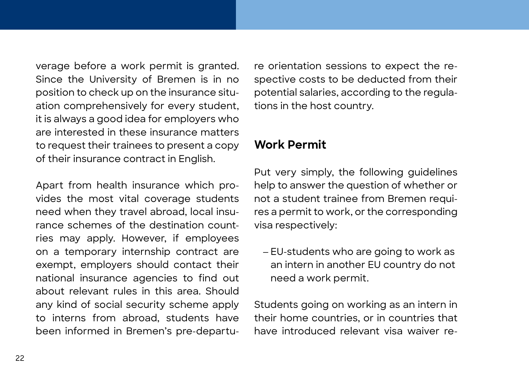<span id="page-21-0"></span>verage before a work permit is granted. Since the University of Bremen is in no position to check up on the insurance situation comprehensively for every student, it is always a good idea for employers who are interested in these insurance matters to request their trainees to present a copy of their insurance contract in English.

Apart from health insurance which provides the most vital coverage students need when they travel abroad, local insurance schemes of the destination countries may apply. However, if employees on a temporary internship contract are exempt, employers should contact their national insurance agencies to find out about relevant rules in this area. Should any kind of social security scheme apply to interns from abroad, students have been informed in Bremen's pre-departure orientation sessions to expect the respective costs to be deducted from their potential salaries, according to the regulations in the host country.

#### **Work Permit**

Put very simply, the following guidelines help to answer the question of whether or not a student trainee from Bremen requires a permit to work, or the corresponding visa respectively:

‒ EU-students who are going to work as an intern in another EU country do not need a work permit.

Students going on working as an intern in their home countries, or in countries that have introduced relevant visa waiver re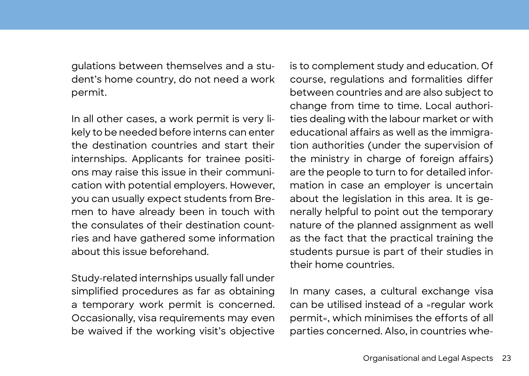gulations between themselves and a student's home country, do not need a work permit.

In all other cases, a work permit is very likely to be needed before interns can enter the destination countries and start their internships. Applicants for trainee positions may raise this issue in their communication with potential employers. However, you can usually expect students from Bremen to have already been in touch with the consulates of their destination countries and have gathered some information about this issue beforehand.

Study-related internships usually fall under simplified procedures as far as obtaining a temporary work permit is concerned. Occasionally, visa requirements may even be waived if the working visit's objective is to complement study and education. Of course, regulations and formalities differ between countries and are also subject to change from time to time. Local authorities dealing with the labour market or with educational affairs as well as the immigration authorities (under the supervision of the ministry in charge of foreign affairs) are the people to turn to for detailed information in case an employer is uncertain about the legislation in this area. It is generally helpful to point out the temporary nature of the planned assignment as well as the fact that the practical training the students pursue is part of their studies in their home countries.

In many cases, a cultural exchange visa can be utilised instead of a »regular work permit«, which minimises the efforts of all parties concerned. Also, in countries whe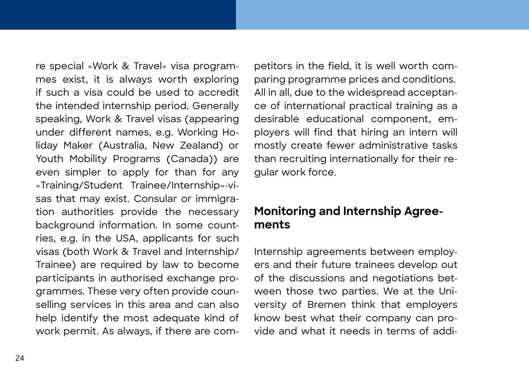<span id="page-23-0"></span>re special »Work & Travel« visa programmes exist, it is always worth exploring if such a visa could be used to accredit the intended internship period. Generally speaking, Work & Travel visas (appearing under different names, e.g. Working Holiday Maker (Australia, New Zealand) or Youth Mobility Programs (Canada)) are even simpler to apply for than for any »Training/Student Trainee/Internship«-visas that may exist. Consular or immigration authorities provide the necessary background information. In some countries, e.g. in the USA, applicants for such visas (both Work & Travel and Internship/ Trainee) are required by law to become participants in authorised exchange programmes. These very often provide counselling services in this area and can also help identify the most adequate kind of work permit. As always, if there are competitors in the field, it is well worth comparing programme prices and conditions. All in all, due to the widespread acceptance of international practical training as a desirable educational component, employers will find that hiring an intern will mostly create fewer administrative tasks than recruiting internationally for their regular work force.

#### **Monitoring and Internship Agreements**

Internship agreements between employers and their future trainees develop out of the discussions and negotiations between those two parties. We at the University of Bremen think that employers know best what their company can provide and what it needs in terms of addi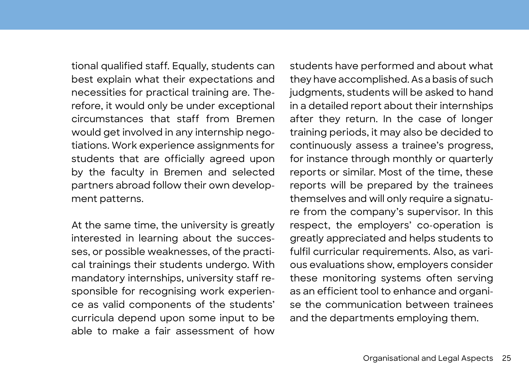tional qualified staff. Equally, students can best explain what their expectations and necessities for practical training are. Therefore, it would only be under exceptional circumstances that staff from Bremen would get involved in any internship negotiations. Work experience assignments for students that are officially agreed upon by the faculty in Bremen and selected partners abroad follow their own development patterns.

At the same time, the university is greatly interested in learning about the successes, or possible weaknesses, of the practical trainings their students undergo. With mandatory internships, university staff responsible for recognising work experience as valid components of the students' curricula depend upon some input to be able to make a fair assessment of how students have performed and about what they have accomplished. As a basis of such judgments, students will be asked to hand in a detailed report about their internships after they return. In the case of longer training periods, it may also be decided to continuously assess a trainee's progress, for instance through monthly or quarterly reports or similar. Most of the time, these reports will be prepared by the trainees themselves and will only require a signature from the company's supervisor. In this respect, the employers' co-operation is greatly appreciated and helps students to fulfil curricular requirements. Also, as various evaluations show, employers consider these monitoring systems often serving as an efficient tool to enhance and organise the communication between trainees and the departments employing them.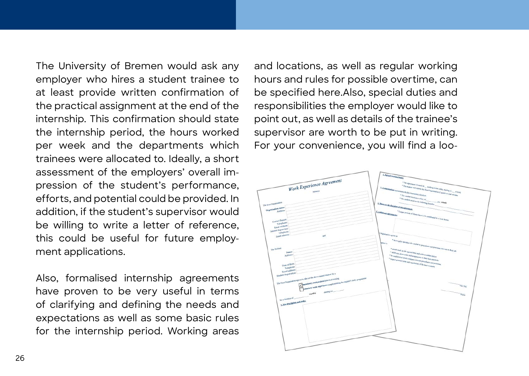The University of Bremen would ask any employer who hires a student trainee to at least provide written confirmation of the practical assignment at the end of the internship. This confirmation should state the internship period, the hours worked per week and the departments which trainees were allocated to. Ideally, a short assessment of the employers' overall impression of the student's performance, efforts, and potential could be provided. In addition, if the student's supervisor would be willing to write a letter of reference, this could be useful for future employment applications.

Also, formalised internship agreements have proven to be very useful in terms of clarifying and defining the needs and expectations as well as some basic rules for the internship period. Working areas and locations, as well as regular working hours and rules for possible overtime, can be specified here.Also, special duties and responsibilities the employer would like to point out, as well as details of the trainee's supervisor are worth to be put in writing. For your convenience, you will find a loo-

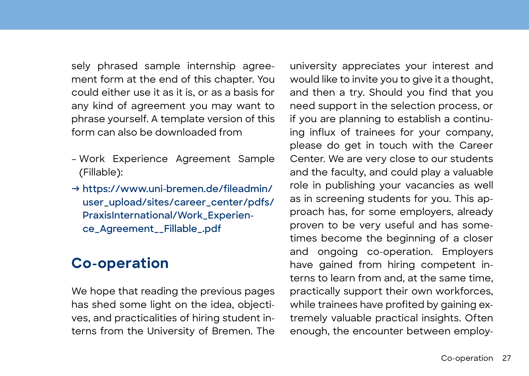<span id="page-26-0"></span>sely phrased sample internship agreement form at the end of this chapter. You could either use it as it is, or as a basis for any kind of agreement you may want to phrase yourself. A template version of this form can also be downloaded from

- Work Experience Agreement Sample (Fillable):
- **→ [https://www.uni-bremen.de/fileadmin/](https://www.uni-bremen.de/fileadmin/user_upload/sites/career_center/pdfs/PraxisInternational/Work_Experience_Agreement__Fillable_.pdf) [user\\_upload/sites/career\\_center/pdfs/](https://www.uni-bremen.de/fileadmin/user_upload/sites/career_center/pdfs/PraxisInternational/Work_Experience_Agreement__Fillable_.pdf) [PraxisInternational/Work\\_Experien](https://www.uni-bremen.de/fileadmin/user_upload/sites/career_center/pdfs/PraxisInternational/Work_Experience_Agreement__Fillable_.pdf)[ce\\_Agreement\\_\\_Fillable\\_.pdf](https://www.uni-bremen.de/fileadmin/user_upload/sites/career_center/pdfs/PraxisInternational/Work_Experience_Agreement__Fillable_.pdf)**

# **Co-operation**

We hope that reading the previous pages has shed some light on the idea, objectives, and practicalities of hiring student interns from the University of Bremen. The university appreciates your interest and would like to invite you to give it a thought. and then a try. Should you find that you need support in the selection process, or if you are planning to establish a continuing influx of trainees for your company, please do get in touch with the Career Center. We are very close to our students and the faculty, and could play a valuable role in publishing your vacancies as well as in screening students for you. This approach has, for some employers, already proven to be very useful and has sometimes become the beginning of a closer and ongoing co-operation. Employers have gained from hiring competent interns to learn from and, at the same time, practically support their own workforces, while trainees have profited by gaining extremely valuable practical insights. Often enough, the encounter between employ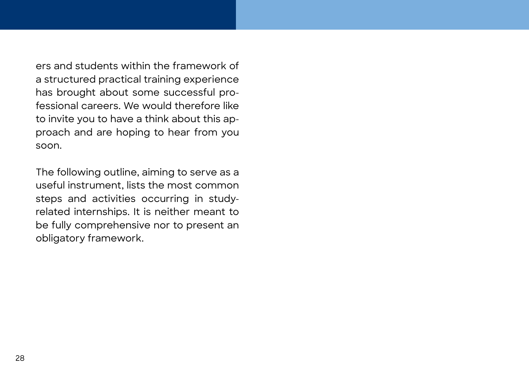ers and students within the framework of a structured practical training experience has brought about some successful professional careers. We would therefore like to invite you to have a think about this approach and are hoping to hear from you soon.

The following outline, aiming to serve as a useful instrument, lists the most common steps and activities occurring in studyrelated internships. It is neither meant to be fully comprehensive nor to present an obligatory framework.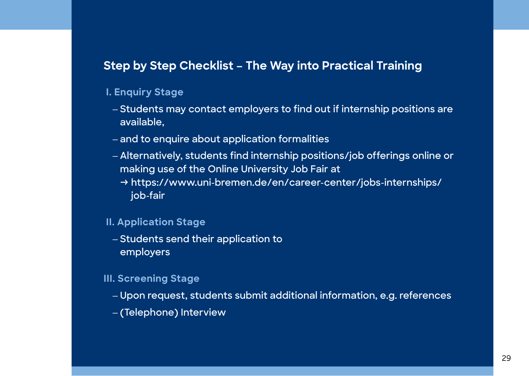#### <span id="page-28-0"></span>**Step by Step Checklist – The Way into Practical Training**

#### **I. Enquiry Stage**

- ‒ **Students may contact employers to find out if internship positions are available,**
- ‒ **and to enquire about application formalities**
- ‒ **Alternatively, students find internship positions/job offerings online or making use of the Online University Job Fair at** 
	- **→ [https://www.uni-bremen.de/en/career-center/jobs-internships/](https://www.uni-bremen.de/en/career-center/jobs-internships/job-fair) [job-fair](https://www.uni-bremen.de/en/career-center/jobs-internships/job-fair)**

#### **II. Application Stage**

‒ **Students send their application to employers**

#### **III. Screening Stage**

- ‒ **Upon request, students submit additional information, e.g. references**
- ‒ **(Telephone) Interview**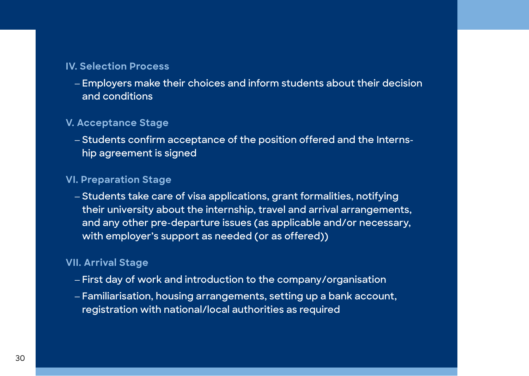#### **IV. Selection Process**

‒ **Employers make their choices and inform students about their decision and conditions**

#### **V. Acceptance Stage**

‒ **Students confirm acceptance of the position offered and the Internship agreement is signed**

#### **VI. Preparation Stage**

‒ **Students take care of visa applications, grant formalities, notifying their university about the internship, travel and arrival arrangements, and any other pre-departure issues (as applicable and/or necessary, with employer's support as needed (or as offered))**

#### **VII. Arrival Stage**

- ‒ **First day of work and introduction to the company/organisation**
- ‒ **Familiarisation, housing arrangements, setting up a bank account, registration with national/local authorities as required**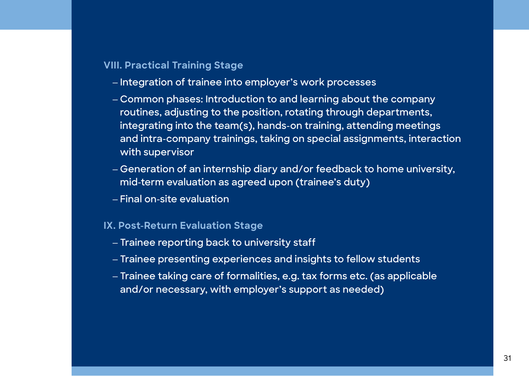#### **VIII. Practical Training Stage**

- ‒ **Integration of trainee into employer's work processes**
- ‒ **Common phases: Introduction to and learning about the company routines, adjusting to the position, rotating through departments, integrating into the team(s), hands-on training, attending meetings and intra-company trainings, taking on special assignments, interaction with supervisor**
- ‒ **Generation of an internship diary and/or feedback to home university, mid-term evaluation as agreed upon (trainee's duty)**
- ‒ **Final on-site evaluation**

#### **IX. Post-Return Evaluation Stage**

- ‒ **Trainee reporting back to university staff**
- ‒ **Trainee presenting experiences and insights to fellow students**
- ‒ **Trainee taking care of formalities, e.g. tax forms etc. (as applicable and/or necessary, with employer's support as needed)**